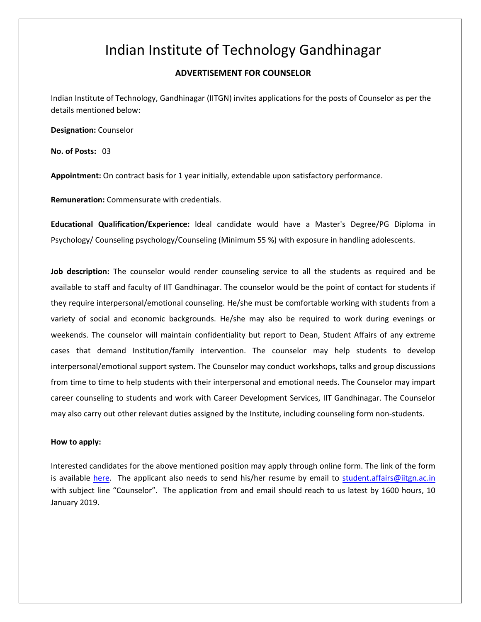## Indian Institute of Technology Gandhinagar

## **ADVERTISEMENT FOR COUNSELOR**

Indian Institute of Technology, Gandhinagar (IITGN) invites applications for the posts of Counselor as per the details mentioned below:

**Designation:** Counselor

**No. of Posts:** 03

**Appointment:** On contract basis for 1 year initially, extendable upon satisfactory performance.

**Remuneration:** Commensurate with credentials.

**Educational Qualification/Experience:** ldeal candidate would have a Master's Degree/PG Diploma in Psychology/ Counseling psychology/Counseling (Minimum 55 %) with exposure in handling adolescents.

**Job description:** The counselor would render counseling service to all the students as required and be available to staff and faculty of IIT Gandhinagar. The counselor would be the point of contact for students if they require interpersonal/emotional counseling. He/she must be comfortable working with students from a variety of social and economic backgrounds. He/she may also be required to work during evenings or weekends. The counselor will maintain confidentiality but report to Dean, Student Affairs of any extreme cases that demand Institution/family intervention. The counselor may help students to develop interpersonal/emotional support system. The Counselor may conduct workshops, talks and group discussions from time to time to help students with their interpersonal and emotional needs. The Counselor may impart career counseling to students and work with Career Development Services, IIT Gandhinagar. The Counselor may also carry out other relevant duties assigned by the Institute, including counseling form non-students.

## **How to apply:**

Interested candidates for the above mentioned position may apply through online form. The link of the form is available here. The applicant also needs to send his/her resume by email to student.affairs@iitgn.ac.in with subject line "Counselor". The application from and email should reach to us latest by 1600 hours, 10 January 2019.